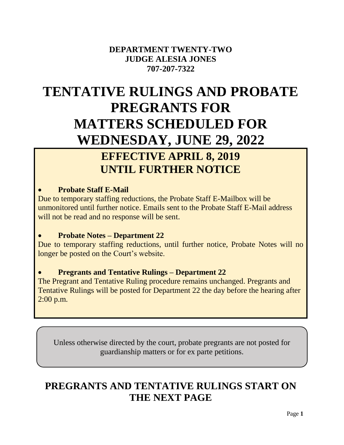# **DEPARTMENT TWENTY-TWO JUDGE ALESIA JONES 707-207-7322**

# **TENTATIVE RULINGS AND PROBATE PREGRANTS FOR MATTERS SCHEDULED FOR WEDNESDAY, JUNE 29, 2022**

# **EFFECTIVE APRIL 8, 2019 UNTIL FURTHER NOTICE**

# **Probate Staff E-Mail**

Due to temporary staffing reductions, the Probate Staff E-Mailbox will be unmonitored until further notice. Emails sent to the Probate Staff E-Mail address will not be read and no response will be sent.

# **Probate Notes – Department 22**

Due to temporary staffing reductions, until further notice, Probate Notes will no longer be posted on the Court's website.

# **Pregrants and Tentative Rulings – Department 22**

The Pregrant and Tentative Ruling procedure remains unchanged. Pregrants and Tentative Rulings will be posted for Department 22 the day before the hearing after 2:00 p.m.

Unless otherwise directed by the court, probate pregrants are not posted for guardianship matters or for ex parte petitions.

# **PREGRANTS AND TENTATIVE RULINGS START ON THE NEXT PAGE**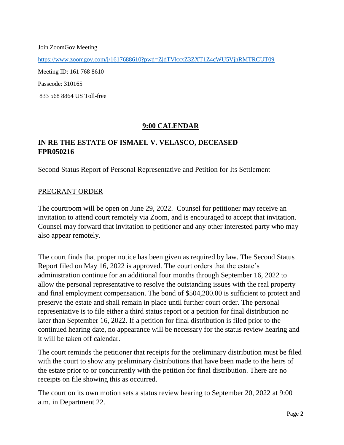Join ZoomGov Meeting

<https://www.zoomgov.com/j/1617688610?pwd=ZjdTVkxxZ3ZXT1Z4cWU5VjhRMTRCUT09>

Meeting ID: 161 768 8610

Passcode: 310165

833 568 8864 US Toll-free

# **9:00 CALENDAR**

# **IN RE THE ESTATE OF ISMAEL V. VELASCO, DECEASED FPR050216**

Second Status Report of Personal Representative and Petition for Its Settlement

#### PREGRANT ORDER

The courtroom will be open on June 29, 2022. Counsel for petitioner may receive an invitation to attend court remotely via Zoom, and is encouraged to accept that invitation. Counsel may forward that invitation to petitioner and any other interested party who may also appear remotely.

The court finds that proper notice has been given as required by law. The Second Status Report filed on May 16, 2022 is approved. The court orders that the estate's administration continue for an additional four months through September 16, 2022 to allow the personal representative to resolve the outstanding issues with the real property and final employment compensation. The bond of \$504,200.00 is sufficient to protect and preserve the estate and shall remain in place until further court order. The personal representative is to file either a third status report or a petition for final distribution no later than September 16, 2022. If a petition for final distribution is filed prior to the continued hearing date, no appearance will be necessary for the status review hearing and it will be taken off calendar.

The court reminds the petitioner that receipts for the preliminary distribution must be filed with the court to show any preliminary distributions that have been made to the heirs of the estate prior to or concurrently with the petition for final distribution. There are no receipts on file showing this as occurred.

The court on its own motion sets a status review hearing to September 20, 2022 at 9:00 a.m. in Department 22.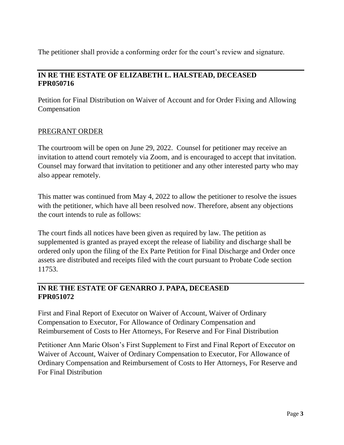The petitioner shall provide a conforming order for the court's review and signature.

# **IN RE THE ESTATE OF ELIZABETH L. HALSTEAD, DECEASED FPR050716**

Petition for Final Distribution on Waiver of Account and for Order Fixing and Allowing Compensation

#### PREGRANT ORDER

The courtroom will be open on June 29, 2022. Counsel for petitioner may receive an invitation to attend court remotely via Zoom, and is encouraged to accept that invitation. Counsel may forward that invitation to petitioner and any other interested party who may also appear remotely.

This matter was continued from May 4, 2022 to allow the petitioner to resolve the issues with the petitioner, which have all been resolved now. Therefore, absent any objections the court intends to rule as follows:

The court finds all notices have been given as required by law. The petition as supplemented is granted as prayed except the release of liability and discharge shall be ordered only upon the filing of the Ex Parte Petition for Final Discharge and Order once assets are distributed and receipts filed with the court pursuant to Probate Code section 11753.

# **IN RE THE ESTATE OF GENARRO J. PAPA, DECEASED FPR051072**

First and Final Report of Executor on Waiver of Account, Waiver of Ordinary Compensation to Executor, For Allowance of Ordinary Compensation and Reimbursement of Costs to Her Attorneys, For Reserve and For Final Distribution

Petitioner Ann Marie Olson's First Supplement to First and Final Report of Executor on Waiver of Account, Waiver of Ordinary Compensation to Executor, For Allowance of Ordinary Compensation and Reimbursement of Costs to Her Attorneys, For Reserve and For Final Distribution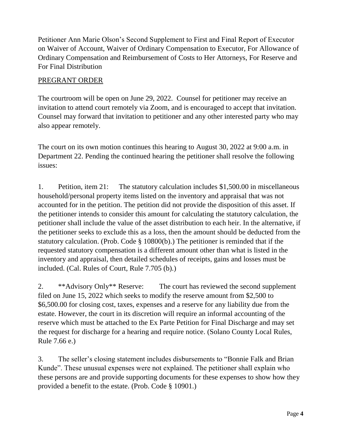Petitioner Ann Marie Olson's Second Supplement to First and Final Report of Executor on Waiver of Account, Waiver of Ordinary Compensation to Executor, For Allowance of Ordinary Compensation and Reimbursement of Costs to Her Attorneys, For Reserve and For Final Distribution

#### PREGRANT ORDER

The courtroom will be open on June 29, 2022. Counsel for petitioner may receive an invitation to attend court remotely via Zoom, and is encouraged to accept that invitation. Counsel may forward that invitation to petitioner and any other interested party who may also appear remotely.

The court on its own motion continues this hearing to August 30, 2022 at 9:00 a.m. in Department 22. Pending the continued hearing the petitioner shall resolve the following issues:

1. Petition, item 21: The statutory calculation includes \$1,500.00 in miscellaneous household/personal property items listed on the inventory and appraisal that was not accounted for in the petition. The petition did not provide the disposition of this asset. If the petitioner intends to consider this amount for calculating the statutory calculation, the petitioner shall include the value of the asset distribution to each heir. In the alternative, if the petitioner seeks to exclude this as a loss, then the amount should be deducted from the statutory calculation. (Prob. Code § 10800(b).) The petitioner is reminded that if the requested statutory compensation is a different amount other than what is listed in the inventory and appraisal, then detailed schedules of receipts, gains and losses must be included. (Cal. Rules of Court, Rule 7.705 (b).)

2. \*\*Advisory Only\*\* Reserve: The court has reviewed the second supplement filed on June 15, 2022 which seeks to modify the reserve amount from \$2,500 to \$6,500.00 for closing cost, taxes, expenses and a reserve for any liability due from the estate. However, the court in its discretion will require an informal accounting of the reserve which must be attached to the Ex Parte Petition for Final Discharge and may set the request for discharge for a hearing and require notice. (Solano County Local Rules, Rule 7.66 e.)

3. The seller's closing statement includes disbursements to "Bonnie Falk and Brian Kunde". These unusual expenses were not explained. The petitioner shall explain who these persons are and provide supporting documents for these expenses to show how they provided a benefit to the estate. (Prob. Code § 10901.)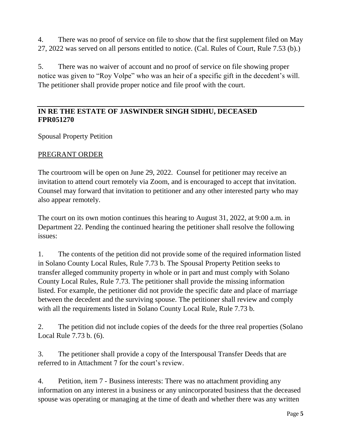4. There was no proof of service on file to show that the first supplement filed on May 27, 2022 was served on all persons entitled to notice. (Cal. Rules of Court, Rule 7.53 (b).)

5. There was no waiver of account and no proof of service on file showing proper notice was given to "Roy Volpe" who was an heir of a specific gift in the decedent's will. The petitioner shall provide proper notice and file proof with the court.

# **IN RE THE ESTATE OF JASWINDER SINGH SIDHU, DECEASED FPR051270**

Spousal Property Petition

#### PREGRANT ORDER

The courtroom will be open on June 29, 2022. Counsel for petitioner may receive an invitation to attend court remotely via Zoom, and is encouraged to accept that invitation. Counsel may forward that invitation to petitioner and any other interested party who may also appear remotely.

The court on its own motion continues this hearing to August 31, 2022, at 9:00 a.m. in Department 22. Pending the continued hearing the petitioner shall resolve the following issues:

1. The contents of the petition did not provide some of the required information listed in Solano County Local Rules, Rule 7.73 b. The Spousal Property Petition seeks to transfer alleged community property in whole or in part and must comply with Solano County Local Rules, Rule 7.73. The petitioner shall provide the missing information listed. For example, the petitioner did not provide the specific date and place of marriage between the decedent and the surviving spouse. The petitioner shall review and comply with all the requirements listed in Solano County Local Rule, Rule 7.73 b.

2. The petition did not include copies of the deeds for the three real properties (Solano Local Rule 7.73 b. (6).

3. The petitioner shall provide a copy of the Interspousal Transfer Deeds that are referred to in Attachment 7 for the court's review.

4. Petition, item 7 - Business interests: There was no attachment providing any information on any interest in a business or any unincorporated business that the deceased spouse was operating or managing at the time of death and whether there was any written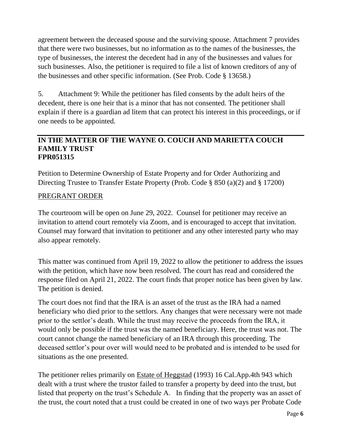agreement between the deceased spouse and the surviving spouse. Attachment 7 provides that there were two businesses, but no information as to the names of the businesses, the type of businesses, the interest the decedent had in any of the businesses and values for such businesses. Also, the petitioner is required to file a list of known creditors of any of the businesses and other specific information. (See Prob. Code § 13658.)

5. Attachment 9: While the petitioner has filed consents by the adult heirs of the decedent, there is one heir that is a minor that has not consented. The petitioner shall explain if there is a guardian ad litem that can protect his interest in this proceedings, or if one needs to be appointed.

#### **IN THE MATTER OF THE WAYNE O. COUCH AND MARIETTA COUCH FAMILY TRUST FPR051315**

Petition to Determine Ownership of Estate Property and for Order Authorizing and Directing Trustee to Transfer Estate Property (Prob. Code § 850 (a)(2) and § 17200)

#### PREGRANT ORDER

The courtroom will be open on June 29, 2022. Counsel for petitioner may receive an invitation to attend court remotely via Zoom, and is encouraged to accept that invitation. Counsel may forward that invitation to petitioner and any other interested party who may also appear remotely.

This matter was continued from April 19, 2022 to allow the petitioner to address the issues with the petition, which have now been resolved. The court has read and considered the response filed on April 21, 2022. The court finds that proper notice has been given by law. The petition is denied.

The court does not find that the IRA is an asset of the trust as the IRA had a named beneficiary who died prior to the settlors. Any changes that were necessary were not made prior to the settlor's death. While the trust may receive the proceeds from the IRA, it would only be possible if the trust was the named beneficiary. Here, the trust was not. The court cannot change the named beneficiary of an IRA through this proceeding. The deceased settlor's pour over will would need to be probated and is intended to be used for situations as the one presented.

The petitioner relies primarily on Estate of Heggstad (1993) 16 Cal.App.4th 943 which dealt with a trust where the trustor failed to transfer a property by deed into the trust, but listed that property on the trust's Schedule A. In finding that the property was an asset of the trust, the court noted that a trust could be created in one of two ways per Probate Code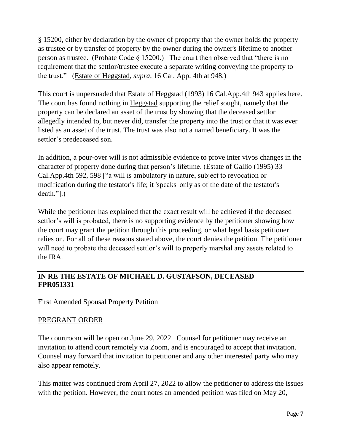§ 15200, either by declaration by the owner of property that the owner holds the property as trustee or by transfer of property by the owner during the owner's lifetime to another person as trustee. (Probate Code § 15200.) The court then observed that "there is no requirement that the settlor/trustee execute a separate writing conveying the property to the trust." (Estate of Heggstad, *supra*, 16 Cal. App. 4th at 948.)

This court is unpersuaded that Estate of Heggstad (1993) 16 Cal.App.4th 943 applies here. The court has found nothing in Heggstad supporting the relief sought, namely that the property can be declared an asset of the trust by showing that the deceased settlor allegedly intended to, but never did, transfer the property into the trust or that it was ever listed as an asset of the trust. The trust was also not a named beneficiary. It was the settlor's predeceased son.

In addition, a pour-over will is not admissible evidence to prove inter vivos changes in the character of property done during that person's lifetime. (Estate of Gallio (1995) 33 Cal.App.4th 592, 598 ["a will is ambulatory in nature, subject to revocation or modification during the testator's life; it 'speaks' only as of the date of the testator's death."].)

While the petitioner has explained that the exact result will be achieved if the deceased settlor's will is probated, there is no supporting evidence by the petitioner showing how the court may grant the petition through this proceeding, or what legal basis petitioner relies on. For all of these reasons stated above, the court denies the petition. The petitioner will need to probate the deceased settlor's will to properly marshal any assets related to the IRA.

# **IN RE THE ESTATE OF MICHAEL D. GUSTAFSON, DECEASED FPR051331**

First Amended Spousal Property Petition

# PREGRANT ORDER

The courtroom will be open on June 29, 2022. Counsel for petitioner may receive an invitation to attend court remotely via Zoom, and is encouraged to accept that invitation. Counsel may forward that invitation to petitioner and any other interested party who may also appear remotely.

This matter was continued from April 27, 2022 to allow the petitioner to address the issues with the petition. However, the court notes an amended petition was filed on May 20,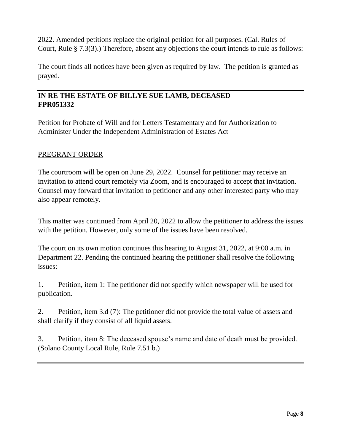2022. Amended petitions replace the original petition for all purposes. (Cal. Rules of Court, Rule § 7.3(3).) Therefore, absent any objections the court intends to rule as follows:

The court finds all notices have been given as required by law. The petition is granted as prayed.

# **IN RE THE ESTATE OF BILLYE SUE LAMB, DECEASED FPR051332**

Petition for Probate of Will and for Letters Testamentary and for Authorization to Administer Under the Independent Administration of Estates Act

# PREGRANT ORDER

The courtroom will be open on June 29, 2022. Counsel for petitioner may receive an invitation to attend court remotely via Zoom, and is encouraged to accept that invitation. Counsel may forward that invitation to petitioner and any other interested party who may also appear remotely.

This matter was continued from April 20, 2022 to allow the petitioner to address the issues with the petition. However, only some of the issues have been resolved.

The court on its own motion continues this hearing to August 31, 2022, at 9:00 a.m. in Department 22. Pending the continued hearing the petitioner shall resolve the following issues:

1. Petition, item 1: The petitioner did not specify which newspaper will be used for publication.

2. Petition, item 3.d (7): The petitioner did not provide the total value of assets and shall clarify if they consist of all liquid assets.

3. Petition, item 8: The deceased spouse's name and date of death must be provided. (Solano County Local Rule, Rule 7.51 b.)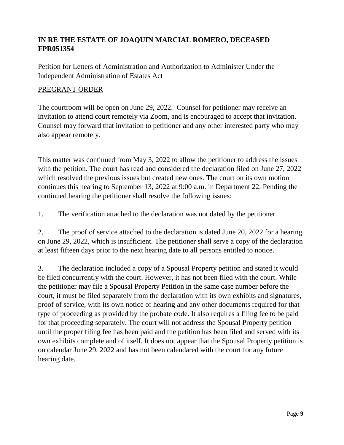# **IN RE THE ESTATE OF JOAQUIN MARCIAL ROMERO, DECEASED FPR051354**

Petition for Letters of Administration and Authorization to Administer Under the Independent Administration of Estates Act

#### PREGRANT ORDER

The courtroom will be open on June 29, 2022. Counsel for petitioner may receive an invitation to attend court remotely via Zoom, and is encouraged to accept that invitation. Counsel may forward that invitation to petitioner and any other interested party who may also appear remotely.

This matter was continued from May 3, 2022 to allow the petitioner to address the issues with the petition. The court has read and considered the declaration filed on June 27, 2022 which resolved the previous issues but created new ones. The court on its own motion continues this hearing to September 13, 2022 at 9:00 a.m. in Department 22. Pending the continued hearing the petitioner shall resolve the following issues:

1. The verification attached to the declaration was not dated by the petitioner.

2. The proof of service attached to the declaration is dated June 20, 2022 for a hearing on June 29, 2022, which is insufficient. The petitioner shall serve a copy of the declaration at least fifteen days prior to the next hearing date to all persons entitled to notice.

3. The declaration included a copy of a Spousal Property petition and stated it would be filed concurrently with the court. However, it has not been filed with the court. While the petitioner may file a Spousal Property Petition in the same case number before the court, it must be filed separately from the declaration with its own exhibits and signatures, proof of service, with its own notice of hearing and any other documents required for that type of proceeding as provided by the probate code. It also requires a filing fee to be paid for that proceeding separately. The court will not address the Spousal Property petition until the proper filing fee has been paid and the petition has been filed and served with its own exhibits complete and of itself. It does not appear that the Spousal Property petition is on calendar June 29, 2022 and has not been calendared with the court for any future hearing date.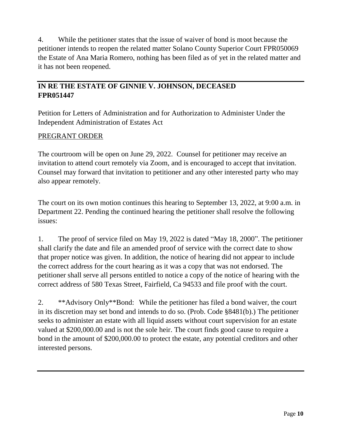4. While the petitioner states that the issue of waiver of bond is moot because the petitioner intends to reopen the related matter Solano County Superior Court FPR050069 the Estate of Ana Maria Romero, nothing has been filed as of yet in the related matter and it has not been reopened.

# **IN RE THE ESTATE OF GINNIE V. JOHNSON, DECEASED FPR051447**

Petition for Letters of Administration and for Authorization to Administer Under the Independent Administration of Estates Act

# PREGRANT ORDER

The courtroom will be open on June 29, 2022. Counsel for petitioner may receive an invitation to attend court remotely via Zoom, and is encouraged to accept that invitation. Counsel may forward that invitation to petitioner and any other interested party who may also appear remotely.

The court on its own motion continues this hearing to September 13, 2022, at 9:00 a.m. in Department 22. Pending the continued hearing the petitioner shall resolve the following issues:

1. The proof of service filed on May 19, 2022 is dated "May 18, 2000". The petitioner shall clarify the date and file an amended proof of service with the correct date to show that proper notice was given. In addition, the notice of hearing did not appear to include the correct address for the court hearing as it was a copy that was not endorsed. The petitioner shall serve all persons entitled to notice a copy of the notice of hearing with the correct address of 580 Texas Street, Fairfield, Ca 94533 and file proof with the court.

2. \*\*Advisory Only\*\*Bond: While the petitioner has filed a bond waiver, the court in its discretion may set bond and intends to do so. (Prob. Code §8481(b).) The petitioner seeks to administer an estate with all liquid assets without court supervision for an estate valued at \$200,000.00 and is not the sole heir. The court finds good cause to require a bond in the amount of \$200,000.00 to protect the estate, any potential creditors and other interested persons.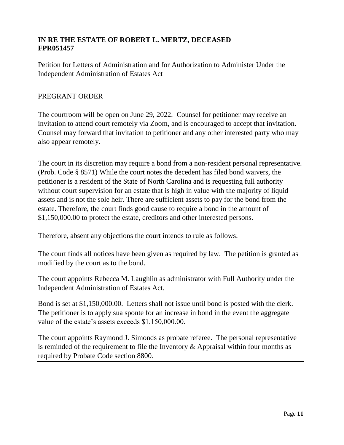## **IN RE THE ESTATE OF ROBERT L. MERTZ, DECEASED FPR051457**

Petition for Letters of Administration and for Authorization to Administer Under the Independent Administration of Estates Act

#### PREGRANT ORDER

The courtroom will be open on June 29, 2022. Counsel for petitioner may receive an invitation to attend court remotely via Zoom, and is encouraged to accept that invitation. Counsel may forward that invitation to petitioner and any other interested party who may also appear remotely.

The court in its discretion may require a bond from a non-resident personal representative. (Prob. Code § 8571) While the court notes the decedent has filed bond waivers, the petitioner is a resident of the State of North Carolina and is requesting full authority without court supervision for an estate that is high in value with the majority of liquid assets and is not the sole heir. There are sufficient assets to pay for the bond from the estate. Therefore, the court finds good cause to require a bond in the amount of \$1,150,000.00 to protect the estate, creditors and other interested persons.

Therefore, absent any objections the court intends to rule as follows:

The court finds all notices have been given as required by law. The petition is granted as modified by the court as to the bond.

The court appoints Rebecca M. Laughlin as administrator with Full Authority under the Independent Administration of Estates Act.

Bond is set at \$1,150,000.00. Letters shall not issue until bond is posted with the clerk. The petitioner is to apply sua sponte for an increase in bond in the event the aggregate value of the estate's assets exceeds \$1,150,000.00.

The court appoints Raymond J. Simonds as probate referee. The personal representative is reminded of the requirement to file the Inventory  $\&$  Appraisal within four months as required by Probate Code section 8800.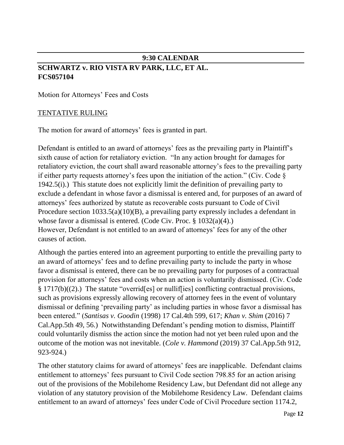# **9:30 CALENDAR**

# **SCHWARTZ v. RIO VISTA RV PARK, LLC, ET AL. FCS057104**

Motion for Attorneys' Fees and Costs

#### TENTATIVE RULING

The motion for award of attorneys' fees is granted in part.

Defendant is entitled to an award of attorneys' fees as the prevailing party in Plaintiff's sixth cause of action for retaliatory eviction. "In any action brought for damages for retaliatory eviction, the court shall award reasonable attorney's fees to the prevailing party if either party requests attorney's fees upon the initiation of the action." (Civ. Code  $\S$ ) 1942.5(i).) This statute does not explicitly limit the definition of prevailing party to exclude a defendant in whose favor a dismissal is entered and, for purposes of an award of attorneys' fees authorized by statute as recoverable costs pursuant to Code of Civil Procedure section 1033.5(a)(10)(B), a prevailing party expressly includes a defendant in whose favor a dismissal is entered. (Code Civ. Proc. § 1032(a)(4).) However, Defendant is not entitled to an award of attorneys' fees for any of the other causes of action.

Although the parties entered into an agreement purporting to entitle the prevailing party to an award of attorneys' fees and to define prevailing party to include the party in whose favor a dismissal is entered, there can be no prevailing party for purposes of a contractual provision for attorneys' fees and costs when an action is voluntarily dismissed. (Civ. Code  $\S 1717(b)((2))$ . The statute "overridereal or nulliffies] conflicting contractual provisions, such as provisions expressly allowing recovery of attorney fees in the event of voluntary dismissal or defining 'prevailing party' as including parties in whose favor a dismissal has been entered." (*Santisas v. Goodin* (1998) 17 Cal.4th 599, 617; *Khan v. Shim* (2016) 7 Cal.App.5th 49, 56.) Notwithstanding Defendant's pending motion to dismiss, Plaintiff could voluntarily dismiss the action since the motion had not yet been ruled upon and the outcome of the motion was not inevitable. (*Cole v. Hammond* (2019) 37 Cal.App.5th 912, 923-924.)

The other statutory claims for award of attorneys' fees are inapplicable. Defendant claims entitlement to attorneys' fees pursuant to Civil Code section 798.85 for an action arising out of the provisions of the Mobilehome Residency Law, but Defendant did not allege any violation of any statutory provision of the Mobilehome Residency Law. Defendant claims entitlement to an award of attorneys' fees under Code of Civil Procedure section 1174.2,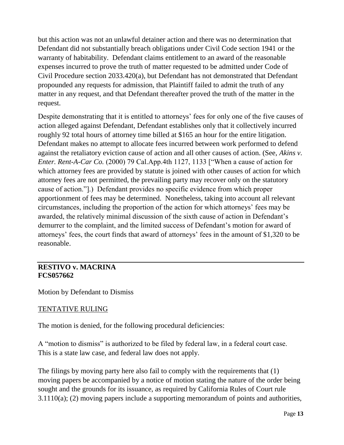but this action was not an unlawful detainer action and there was no determination that Defendant did not substantially breach obligations under Civil Code section 1941 or the warranty of habitability. Defendant claims entitlement to an award of the reasonable expenses incurred to prove the truth of matter requested to be admitted under Code of Civil Procedure section 2033.420(a), but Defendant has not demonstrated that Defendant propounded any requests for admission, that Plaintiff failed to admit the truth of any matter in any request, and that Defendant thereafter proved the truth of the matter in the request.

Despite demonstrating that it is entitled to attorneys' fees for only one of the five causes of action alleged against Defendant, Defendant establishes only that it collectively incurred roughly 92 total hours of attorney time billed at \$165 an hour for the entire litigation. Defendant makes no attempt to allocate fees incurred between work performed to defend against the retaliatory eviction cause of action and all other causes of action. (See, *Akins v. Enter. Rent-A-Car Co.* (2000) 79 Cal.App.4th 1127, 1133 ["When a cause of action for which attorney fees are provided by statute is joined with other causes of action for which attorney fees are not permitted, the prevailing party may recover only on the statutory cause of action."].) Defendant provides no specific evidence from which proper apportionment of fees may be determined. Nonetheless, taking into account all relevant circumstances, including the proportion of the action for which attorneys' fees may be awarded, the relatively minimal discussion of the sixth cause of action in Defendant's demurrer to the complaint, and the limited success of Defendant's motion for award of attorneys' fees, the court finds that award of attorneys' fees in the amount of \$1,320 to be reasonable.

## **RESTIVO v. MACRINA FCS057662**

Motion by Defendant to Dismiss

# TENTATIVE RULING

The motion is denied, for the following procedural deficiencies:

A "motion to dismiss" is authorized to be filed by federal law, in a federal court case. This is a state law case, and federal law does not apply.

The filings by moving party here also fail to comply with the requirements that (1) moving papers be accompanied by a notice of motion stating the nature of the order being sought and the grounds for its issuance, as required by California Rules of Court rule 3.1110(a); (2) moving papers include a supporting memorandum of points and authorities,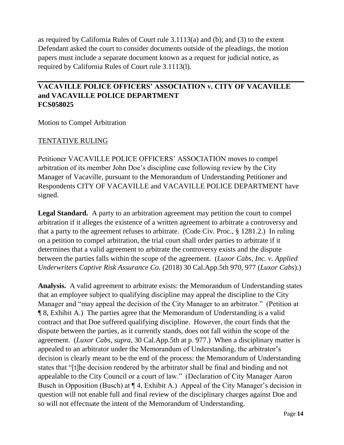as required by California Rules of Court rule 3.1113(a) and (b); and (3) to the extent Defendant asked the court to consider documents outside of the pleadings, the motion papers must include a separate document known as a request for judicial notice, as required by California Rules of Court rule 3.1113(l).

# **VACAVILLE POLICE OFFICERS' ASSOCIATION v. CITY OF VACAVILLE and VACAVILLE POLICE DEPARTMENT FCS058025**

Motion to Compel Arbitration

#### TENTATIVE RULING

Petitioner VACAVILLE POLICE OFFICERS' ASSOCIATION moves to compel arbitration of its member John Doe's discipline case following review by the City Manager of Vacaville, pursuant to the Memorandum of Understanding Petitioner and Respondents CITY OF VACAVILLE and VACAVILLE POLICE DEPARTMENT have signed.

Legal Standard. A party to an arbitration agreement may petition the court to compel arbitration if it alleges the existence of a written agreement to arbitrate a controversy and that a party to the agreement refuses to arbitrate. (Code Civ. Proc., § 1281.2.) In ruling on a petition to compel arbitration, the trial court shall order parties to arbitrate if it determines that a valid agreement to arbitrate the controversy exists and the dispute between the parties falls within the scope of the agreement. (*Luxor Cabs, Inc. v. Applied Underwriters Captive Risk Assurance Co.* (2018) 30 Cal.App.5th 970, 977 (*Luxor Cabs*).)

**Analysis.** A valid agreement to arbitrate exists: the Memorandum of Understanding states that an employee subject to qualifying discipline may appeal the discipline to the City Manager and "may appeal the decision of the City Manager to an arbitrator." (Petition at ¶ 8, Exhibit A.) The parties agree that the Memorandum of Understanding is a valid contract and that Doe suffered qualifying discipline. However, the court finds that the dispute between the parties, as it currently stands, does not fall within the scope of the agreement. (*Luxor Cabs*, *supra*, 30 Cal.App.5th at p. 977.) When a disciplinary matter is appealed to an arbitrator under the Memorandum of Understanding, the arbitrator's decision is clearly meant to be the end of the process: the Memorandum of Understanding states that "[t]he decision rendered by the arbitrator shall be final and binding and not appealable to the City Council or a court of law." (Declaration of City Manager Aaron Busch in Opposition (Busch) at ¶ 4, Exhibit A.) Appeal of the City Manager's decision in question will not enable full and final review of the disciplinary charges against Doe and so will not effectuate the intent of the Memorandum of Understanding.